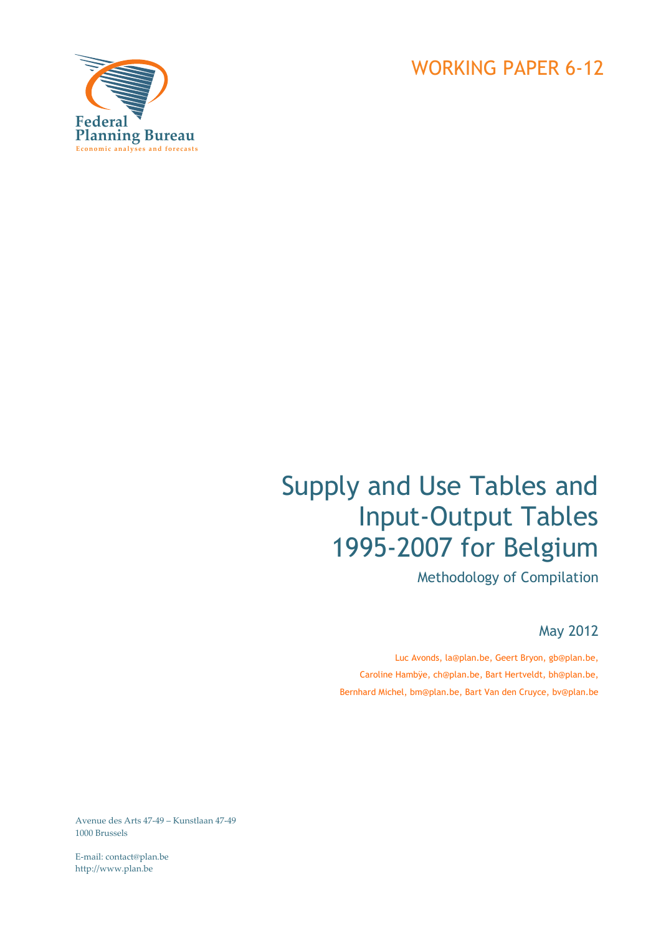



# Supply and Use Tables and Input-Output Tables 1995-2007 for Belgium

Methodology of Compilation

May 2012

Luc Avonds, la@plan.be, Geert Bryon, gb@plan.be, Caroline Hambÿe, ch@plan.be, Bart Hertveldt, bh@plan.be, Bernhard Michel, bm@plan.be, Bart Van den Cruyce, bv@plan.be

Avenue des Arts 47‐49 – Kunstlaan 47‐49 1000 Brussels

E‐mail: contact@plan.be http://www.plan.be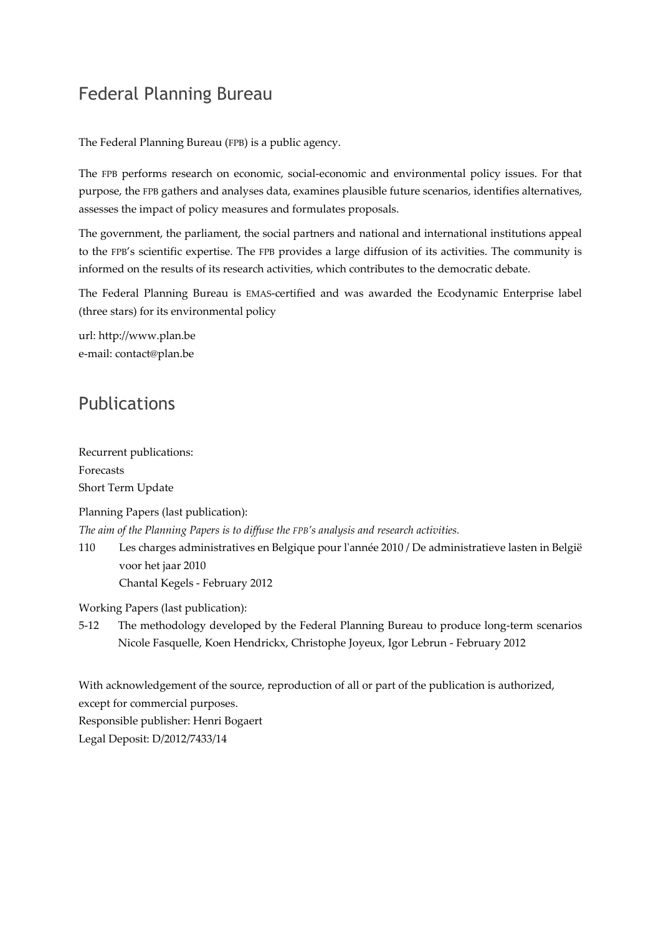# Federal Planning Bureau

The Federal Planning Bureau (FPB) is a public agency.

The FPB performs research on economic, social‐economic and environmental policy issues. For that purpose, the FPB gathers and analyses data, examines plausible future scenarios, identifies alternatives, assesses the impact of policy measures and formulates proposals.

The government, the parliament, the social partners and national and international institutions appeal to the FPB's scientific expertise. The FPB provides a large diffusion of its activities. The community is informed on the results of its research activities, which contributes to the democratic debate.

The Federal Planning Bureau is EMAS‐certified and was awarded the Ecodynamic Enterprise label (three stars) for its environmental policy

url: http://www.plan.be e‐mail: contact@plan.be

### Publications

Recurrent publications: Forecasts Short Term Update

Planning Papers (last publication):

*The aim of the Planning Papers is to diffuse the FPB's analysis and research activities.* 

110 Les charges administratives en Belgique pour lʹannée 2010 / De administratieve lasten in België voor het jaar 2010 Chantal Kegels ‐ February 2012

Working Papers (last publication):

5-12 The methodology developed by the Federal Planning Bureau to produce long-term scenarios Nicole Fasquelle, Koen Hendrickx, Christophe Joyeux, Igor Lebrun ‐ February 2012

With acknowledgement of the source, reproduction of all or part of the publication is authorized, except for commercial purposes. Responsible publisher: Henri Bogaert

Legal Deposit: D/2012/7433/14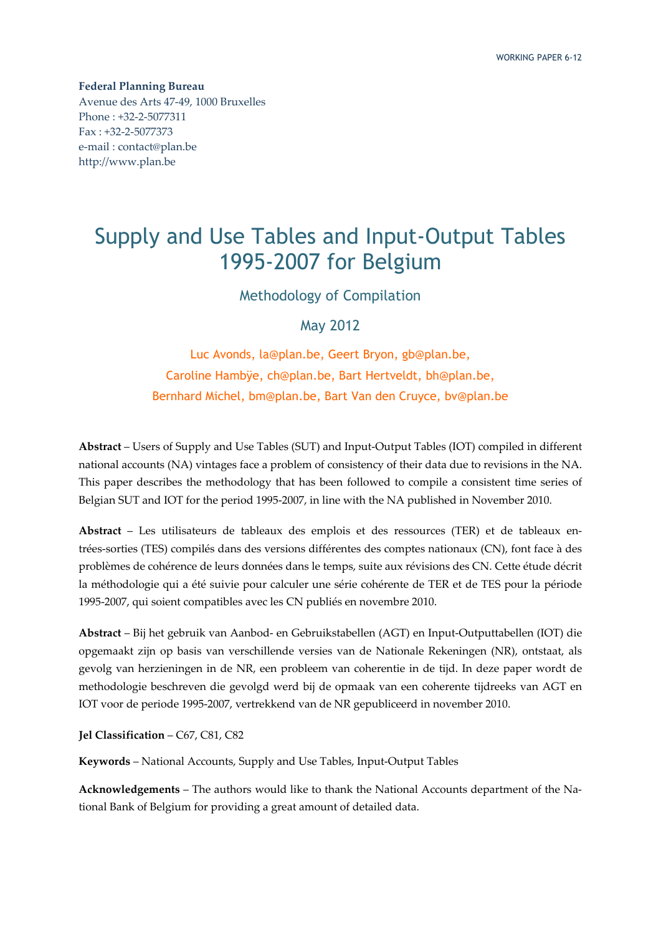**Federal Planning Bureau** Avenue des Arts 47‐49, 1000 Bruxelles Phone : +32‐2‐5077311 Fax : +32‐2‐5077373 e‐mail : contact@plan.be http://www.plan.be

# Supply and Use Tables and Input-Output Tables 1995-2007 for Belgium

Methodology of Compilation

May 2012

Luc Avonds, la@plan.be, Geert Bryon, gb@plan.be, Caroline Hambÿe, ch@plan.be, Bart Hertveldt, bh@plan.be, Bernhard Michel, bm@plan.be, Bart Van den Cruyce, bv@plan.be

**Abstract** – Users of Supply and Use Tables (SUT) and Input‐Output Tables (IOT) compiled in different national accounts (NA) vintages face a problem of consistency of their data due to revisions in the NA. This paper describes the methodology that has been followed to compile a consistent time series of Belgian SUT and IOT for the period 1995‐2007, in line with the NA published in November 2010.

**Abstract** – Les utilisateurs de tableaux des emplois et des ressources (TER) et de tableaux en‐ trées‐sorties (TES) compilés dans des versions différentes des comptes nationaux (CN), font face à des problèmes de cohérence de leurs données dans le temps, suite aux révisions des CN. Cette étude décrit la méthodologie qui a été suivie pour calculer une série cohérente de TER et de TES pour la période 1995‐2007, qui soient compatibles avec les CN publiés en novembre 2010.

**Abstract** – Bij het gebruik van Aanbod‐ en Gebruikstabellen (AGT) en Input‐Outputtabellen (IOT) die opgemaakt zijn op basis van verschillende versies van de Nationale Rekeningen (NR), ontstaat, als gevolg van herzieningen in de NR, een probleem van coherentie in de tijd. In deze paper wordt de methodologie beschreven die gevolgd werd bij de opmaak van een coherente tijdreeks van AGT en IOT voor de periode 1995‐2007, vertrekkend van de NR gepubliceerd in november 2010.

**Jel Classification** – C67, C81, C82

**Keywords** – National Accounts, Supply and Use Tables, Input‐Output Tables

**Acknowledgements** – The authors would like to thank the National Accounts department of the Na‐ tional Bank of Belgium for providing a great amount of detailed data.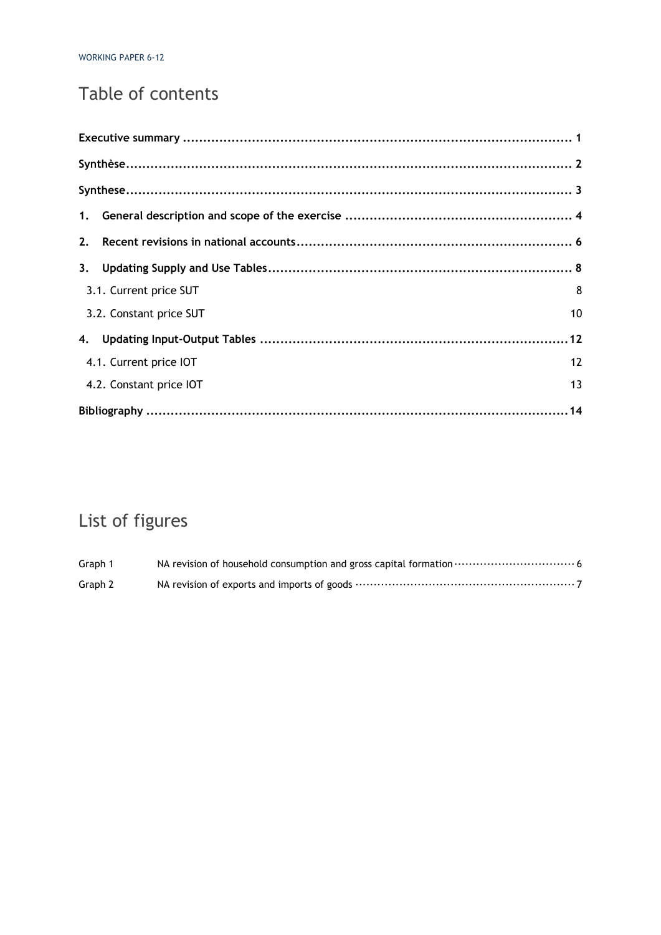# Table of contents

| 2.                      |    |
|-------------------------|----|
|                         |    |
| 3.1. Current price SUT  | 8  |
| 3.2. Constant price SUT | 10 |
|                         |    |
| 4.1. Current price IOT  | 12 |
| 4.2. Constant price IOT | 13 |
|                         |    |

# List of figures

| Graph 1 |  |
|---------|--|
| Graph 2 |  |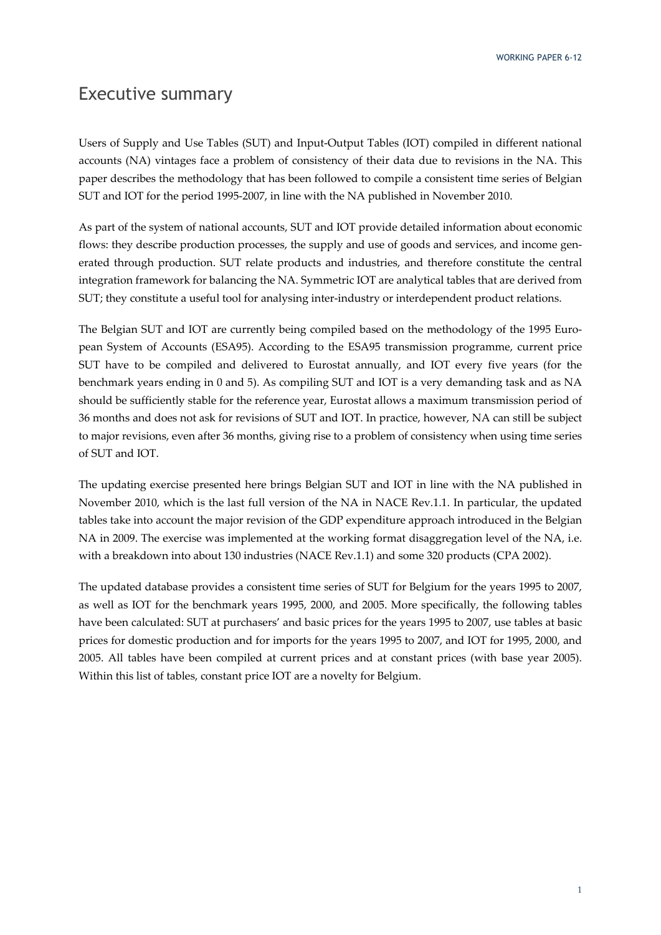WORKING PAPER 6-12

#### Executive summary

Users of Supply and Use Tables (SUT) and Input‐Output Tables (IOT) compiled in different national accounts (NA) vintages face a problem of consistency of their data due to revisions in the NA. This paper describes the methodology that has been followed to compile a consistent time series of Belgian SUT and IOT for the period 1995‐2007, in line with the NA published in November 2010.

As part of the system of national accounts, SUT and IOT provide detailed information about economic flows: they describe production processes, the supply and use of goods and services, and income generated through production. SUT relate products and industries, and therefore constitute the central integration framework for balancing the NA. Symmetric IOT are analytical tables that are derived from SUT; they constitute a useful tool for analysing inter-industry or interdependent product relations.

The Belgian SUT and IOT are currently being compiled based on the methodology of the 1995 European System of Accounts (ESA95). According to the ESA95 transmission programme, current price SUT have to be compiled and delivered to Eurostat annually, and IOT every five years (for the benchmark years ending in 0 and 5). As compiling SUT and IOT is a very demanding task and as NA should be sufficiently stable for the reference year, Eurostat allows a maximum transmission period of 36 months and does not ask for revisions of SUT and IOT. In practice, however, NA can still be subject to major revisions, even after 36 months, giving rise to a problem of consistency when using time series of SUT and IOT.

The updating exercise presented here brings Belgian SUT and IOT in line with the NA published in November 2010, which is the last full version of the NA in NACE Rev.1.1. In particular, the updated tables take into account the major revision of the GDP expenditure approach introduced in the Belgian NA in 2009. The exercise was implemented at the working format disaggregation level of the NA, i.e. with a breakdown into about 130 industries (NACE Rev.1.1) and some 320 products (CPA 2002).

The updated database provides a consistent time series of SUT for Belgium for the years 1995 to 2007, as well as IOT for the benchmark years 1995, 2000, and 2005. More specifically, the following tables have been calculated: SUT at purchasers' and basic prices for the years 1995 to 2007, use tables at basic prices for domestic production and for imports for the years 1995 to 2007, and IOT for 1995, 2000, and 2005. All tables have been compiled at current prices and at constant prices (with base year 2005). Within this list of tables, constant price IOT are a novelty for Belgium.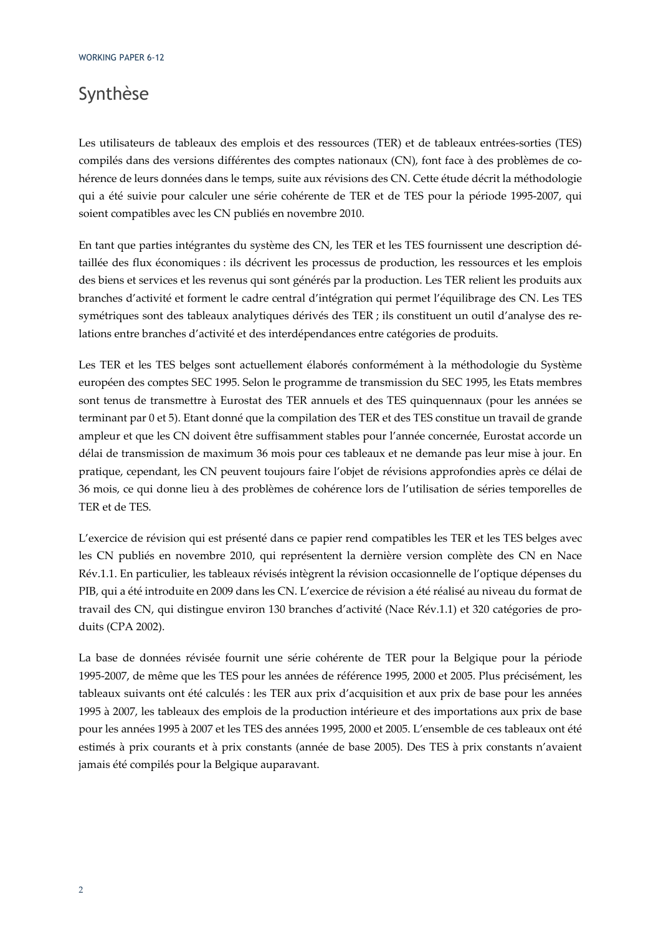# Synthèse

Les utilisateurs de tableaux des emplois et des ressources (TER) et de tableaux entrées-sorties (TES) compilés dans des versions différentes des comptes nationaux (CN), font face à des problèmes de cohérence de leurs données dans le temps, suite aux révisions des CN. Cette étude décrit la méthodologie qui a été suivie pour calculer une série cohérente de TER et de TES pour la période 1995‐2007, qui soient compatibles avec les CN publiés en novembre 2010.

En tant que parties intégrantes du système des CN, les TER et les TES fournissent une description dé‐ taillée des flux économiques : ils décrivent les processus de production, les ressources et les emplois des biens et services et les revenus qui sont générés par la production. Les TER relient les produits aux branches d'activité et forment le cadre central d'intégration qui permet l'équilibrage des CN. Les TES symétriques sont des tableaux analytiques dérivés des TER ; ils constituent un outil d'analyse des relations entre branches d'activité et des interdépendances entre catégories de produits.

Les TER et les TES belges sont actuellement élaborés conformément à la méthodologie du Système européen des comptes SEC 1995. Selon le programme de transmission du SEC 1995, les Etats membres sont tenus de transmettre à Eurostat des TER annuels et des TES quinquennaux (pour les années se terminant par 0 et 5). Etant donné que la compilation des TER et des TES constitue un travail de grande ampleur et que les CN doivent être suffisamment stables pour l'année concernée, Eurostat accorde un délai de transmission de maximum 36 mois pour ces tableaux et ne demande pas leur mise à jour. En pratique, cependant, les CN peuvent toujours faire l'objet de révisions approfondies après ce délai de 36 mois, ce qui donne lieu à des problèmes de cohérence lors de l'utilisation de séries temporelles de TER et de TES.

L'exercice de révision qui est présenté dans ce papier rend compatibles les TER et les TES belges avec les CN publiés en novembre 2010, qui représentent la dernière version complète des CN en Nace Rév.1.1. En particulier, les tableaux révisés intègrent la révision occasionnelle de l'optique dépenses du PIB, qui a été introduite en 2009 dans les CN. L'exercice de révision a été réalisé au niveau du format de travail des CN, qui distingue environ 130 branches d'activité (Nace Rév.1.1) et 320 catégories de pro‐ duits (CPA 2002).

La base de données révisée fournit une série cohérente de TER pour la Belgique pour la période 1995‐2007, de même que les TES pour les années de référence 1995, 2000 et 2005. Plus précisément, les tableaux suivants ont été calculés : les TER aux prix d'acquisition et aux prix de base pour les années 1995 à 2007, les tableaux des emplois de la production intérieure et des importations aux prix de base pour les années 1995 à 2007 et les TES des années 1995, 2000 et 2005. L'ensemble de ces tableaux ont été estimés à prix courants et à prix constants (année de base 2005). Des TES à prix constants n'avaient jamais été compilés pour la Belgique auparavant.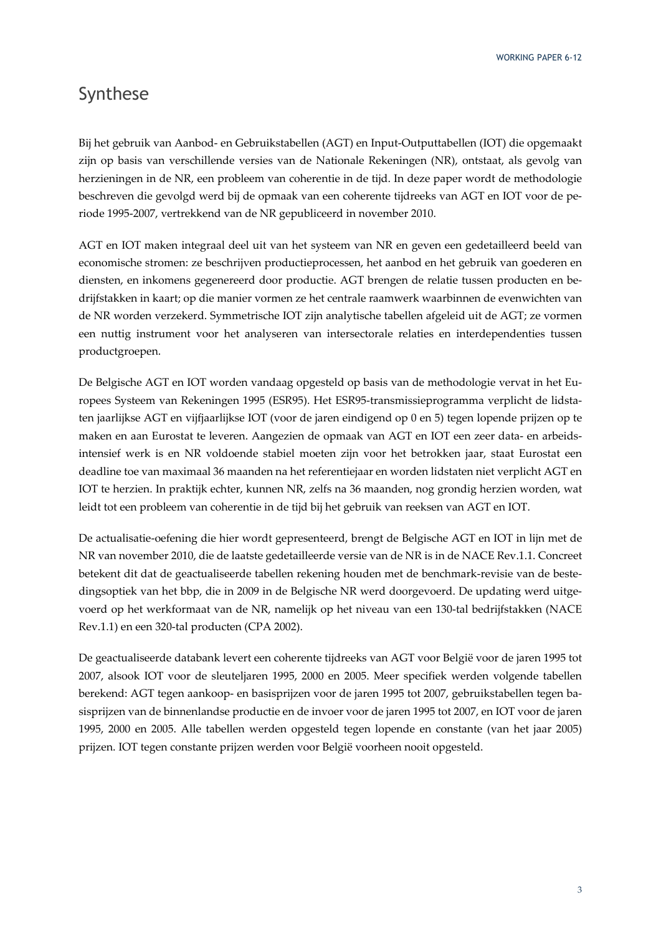WORKING PAPER 6-12

### Synthese

Bij het gebruik van Aanbod‐ en Gebruikstabellen (AGT) en Input‐Outputtabellen (IOT) die opgemaakt zijn op basis van verschillende versies van de Nationale Rekeningen (NR), ontstaat, als gevolg van herzieningen in de NR, een probleem van coherentie in de tijd. In deze paper wordt de methodologie beschreven die gevolgd werd bij de opmaak van een coherente tijdreeks van AGT en IOT voor de pe‐ riode 1995‐2007, vertrekkend van de NR gepubliceerd in november 2010.

AGT en IOT maken integraal deel uit van het systeem van NR en geven een gedetailleerd beeld van economische stromen: ze beschrijven productieprocessen, het aanbod en het gebruik van goederen en diensten, en inkomens gegenereerd door productie. AGT brengen de relatie tussen producten en be‐ drijfstakken in kaart; op die manier vormen ze het centrale raamwerk waarbinnen de evenwichten van de NR worden verzekerd. Symmetrische IOT zijn analytische tabellen afgeleid uit de AGT; ze vormen een nuttig instrument voor het analyseren van intersectorale relaties en interdependenties tussen productgroepen.

De Belgische AGT en IOT worden vandaag opgesteld op basis van de methodologie vervat in het Eu‐ ropees Systeem van Rekeningen 1995 (ESR95). Het ESR95‐transmissieprogramma verplicht de lidsta‐ ten jaarlijkse AGT en vijfjaarlijkse IOT (voor de jaren eindigend op 0 en 5) tegen lopende prijzen op te maken en aan Eurostat te leveren. Aangezien de opmaak van AGT en IOT een zeer data‐ en arbeids‐ intensief werk is en NR voldoende stabiel moeten zijn voor het betrokken jaar, staat Eurostat een deadline toe van maximaal 36 maanden na het referentiejaar en worden lidstaten niet verplicht AGT en IOT te herzien. In praktijk echter, kunnen NR, zelfs na 36 maanden, nog grondig herzien worden, wat leidt tot een probleem van coherentie in de tijd bij het gebruik van reeksen van AGT en IOT.

De actualisatie‐oefening die hier wordt gepresenteerd, brengt de Belgische AGT en IOT in lijn met de NR van november 2010, die de laatste gedetailleerde versie van de NR is in de NACE Rev.1.1. Concreet betekent dit dat de geactualiseerde tabellen rekening houden met de benchmark‐revisie van de beste‐ dingsoptiek van het bbp, die in 2009 in de Belgische NR werd doorgevoerd. De updating werd uitgevoerd op het werkformaat van de NR, namelijk op het niveau van een 130‐tal bedrijfstakken (NACE Rev.1.1) en een 320‐tal producten (CPA 2002).

De geactualiseerde databank levert een coherente tijdreeks van AGT voor België voor de jaren 1995 tot 2007, alsook IOT voor de sleuteljaren 1995, 2000 en 2005. Meer specifiek werden volgende tabellen berekend: AGT tegen aankoop‐ en basisprijzen voor de jaren 1995 tot 2007, gebruikstabellen tegen ba‐ sisprijzen van de binnenlandse productie en de invoer voor de jaren 1995 tot 2007, en IOT voor de jaren 1995, 2000 en 2005. Alle tabellen werden opgesteld tegen lopende en constante (van het jaar 2005) prijzen. IOT tegen constante prijzen werden voor België voorheen nooit opgesteld.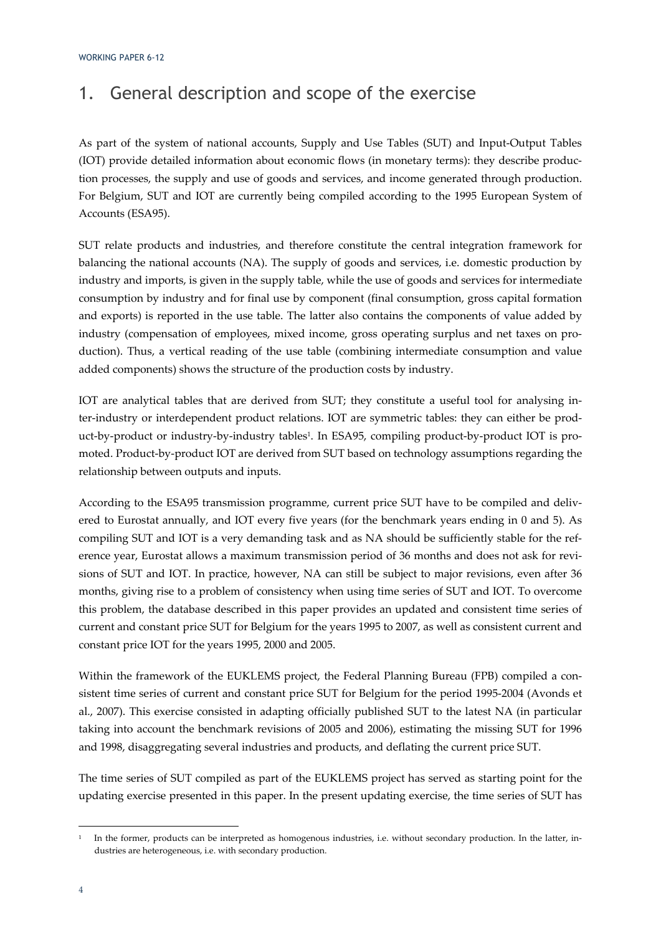# 1. General description and scope of the exercise

As part of the system of national accounts, Supply and Use Tables (SUT) and Input‐Output Tables (IOT) provide detailed information about economic flows (in monetary terms): they describe produc‐ tion processes, the supply and use of goods and services, and income generated through production. For Belgium, SUT and IOT are currently being compiled according to the 1995 European System of Accounts (ESA95).

SUT relate products and industries, and therefore constitute the central integration framework for balancing the national accounts (NA). The supply of goods and services, i.e. domestic production by industry and imports, is given in the supply table, while the use of goods and services for intermediate consumption by industry and for final use by component (final consumption, gross capital formation and exports) is reported in the use table. The latter also contains the components of value added by industry (compensation of employees, mixed income, gross operating surplus and net taxes on production). Thus, a vertical reading of the use table (combining intermediate consumption and value added components) shows the structure of the production costs by industry.

IOT are analytical tables that are derived from SUT; they constitute a useful tool for analysing inter-industry or interdependent product relations. IOT are symmetric tables: they can either be product-by-product or industry-by-industry tables<sup>1</sup>. In ESA95, compiling product-by-product IOT is promoted. Product-by-product IOT are derived from SUT based on technology assumptions regarding the relationship between outputs and inputs.

According to the ESA95 transmission programme, current price SUT have to be compiled and delivered to Eurostat annually, and IOT every five years (for the benchmark years ending in 0 and 5). As compiling SUT and IOT is a very demanding task and as NA should be sufficiently stable for the ref‐ erence year, Eurostat allows a maximum transmission period of 36 months and does not ask for revisions of SUT and IOT. In practice, however, NA can still be subject to major revisions, even after 36 months, giving rise to a problem of consistency when using time series of SUT and IOT. To overcome this problem, the database described in this paper provides an updated and consistent time series of current and constant price SUT for Belgium for the years 1995 to 2007, as well as consistent current and constant price IOT for the years 1995, 2000 and 2005.

Within the framework of the EUKLEMS project, the Federal Planning Bureau (FPB) compiled a consistent time series of current and constant price SUT for Belgium for the period 1995-2004 (Avonds et al., 2007). This exercise consisted in adapting officially published SUT to the latest NA (in particular taking into account the benchmark revisions of 2005 and 2006), estimating the missing SUT for 1996 and 1998, disaggregating several industries and products, and deflating the current price SUT.

The time series of SUT compiled as part of the EUKLEMS project has served as starting point for the updating exercise presented in this paper. In the present updating exercise, the time series of SUT has

In the former, products can be interpreted as homogenous industries, i.e. without secondary production. In the latter, industries are heterogeneous, i.e. with secondary production.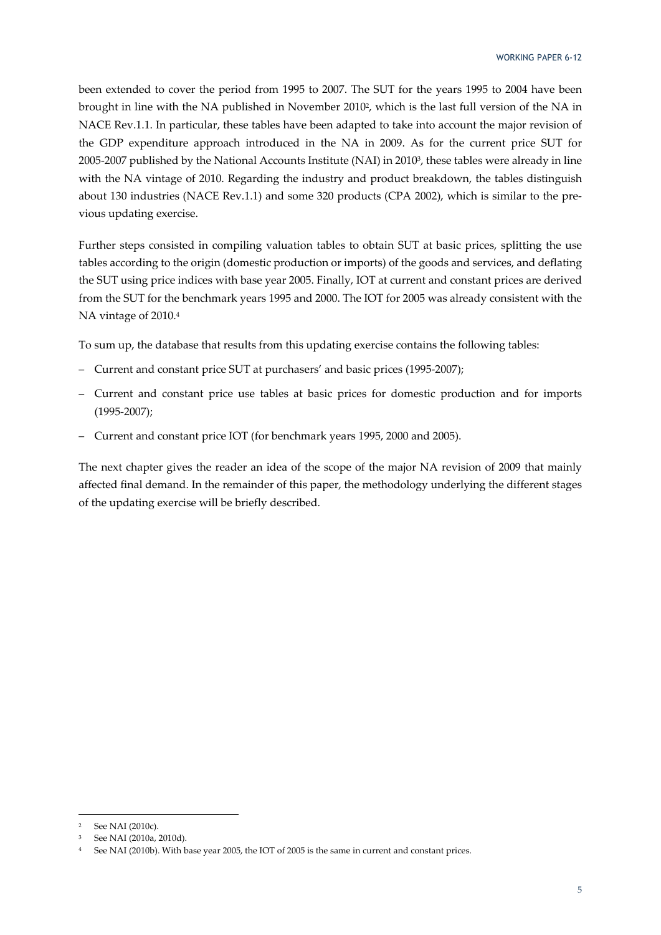been extended to cover the period from 1995 to 2007. The SUT for the years 1995 to 2004 have been brought in line with the NA published in November 20102, which is the last full version of the NA in NACE Rev.1.1. In particular, these tables have been adapted to take into account the major revision of the GDP expenditure approach introduced in the NA in 2009. As for the current price SUT for 2005‐2007 published by the National Accounts Institute (NAI) in 20103, these tables were already in line with the NA vintage of 2010. Regarding the industry and product breakdown, the tables distinguish about 130 industries (NACE Rev.1.1) and some 320 products (CPA 2002), which is similar to the pre‐ vious updating exercise.

Further steps consisted in compiling valuation tables to obtain SUT at basic prices, splitting the use tables according to the origin (domestic production or imports) of the goods and services, and deflating the SUT using price indices with base year 2005. Finally, IOT at current and constant prices are derived from the SUT for the benchmark years 1995 and 2000. The IOT for 2005 was already consistent with the NA vintage of 2010.4

To sum up, the database that results from this updating exercise contains the following tables:

- Current and constant price SUT at purchasers' and basic prices (1995‐2007);
- Current and constant price use tables at basic prices for domestic production and for imports (1995‐2007);
- Current and constant price IOT (for benchmark years 1995, 2000 and 2005).

The next chapter gives the reader an idea of the scope of the major NA revision of 2009 that mainly affected final demand. In the remainder of this paper, the methodology underlying the different stages of the updating exercise will be briefly described.

<sup>2</sup> See NAI (2010c).

<sup>3</sup> See NAI (2010a, 2010d).

<sup>4</sup> See NAI (2010b). With base year 2005, the IOT of 2005 is the same in current and constant prices.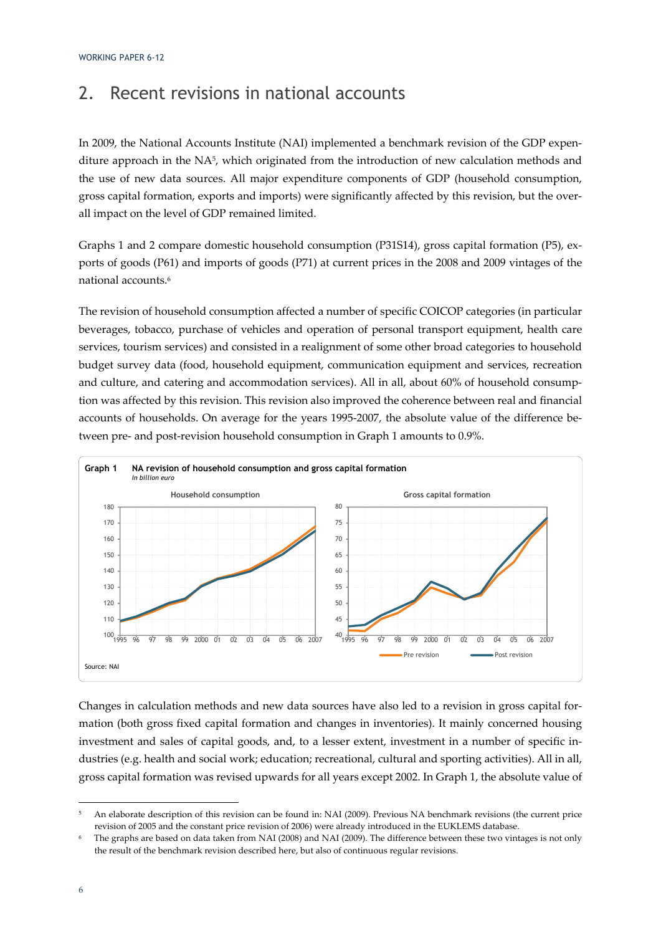### 2. Recent revisions in national accounts

In 2009, the National Accounts Institute (NAI) implemented a benchmark revision of the GDP expenditure approach in the NA5, which originated from the introduction of new calculation methods and the use of new data sources. All major expenditure components of GDP (household consumption, gross capital formation, exports and imports) were significantly affected by this revision, but the overall impact on the level of GDP remained limited.

Graphs 1 and 2 compare domestic household consumption (P31S14), gross capital formation (P5), ex‐ ports of goods (P61) and imports of goods (P71) at current prices in the 2008 and 2009 vintages of the national accounts.6

The revision of household consumption affected a number of specific COICOP categories (in particular beverages, tobacco, purchase of vehicles and operation of personal transport equipment, health care services, tourism services) and consisted in a realignment of some other broad categories to household budget survey data (food, household equipment, communication equipment and services, recreation and culture, and catering and accommodation services). All in all, about 60% of household consumption was affected by this revision. This revision also improved the coherence between real and financial accounts of households. On average for the years 1995-2007, the absolute value of the difference between pre- and post-revision household consumption in Graph 1 amounts to 0.9%.



Changes in calculation methods and new data sources have also led to a revision in gross capital for‐ mation (both gross fixed capital formation and changes in inventories). It mainly concerned housing investment and sales of capital goods, and, to a lesser extent, investment in a number of specific industries (e.g. health and social work; education; recreational, cultural and sporting activities). All in all, gross capital formation was revised upwards for all years except 2002. In Graph 1, the absolute value of

<sup>5</sup> An elaborate description of this revision can be found in: NAI (2009). Previous NA benchmark revisions (the current price revision of 2005 and the constant price revision of 2006) were already introduced in the EUKLEMS database.

The graphs are based on data taken from NAI (2008) and NAI (2009). The difference between these two vintages is not only the result of the benchmark revision described here, but also of continuous regular revisions.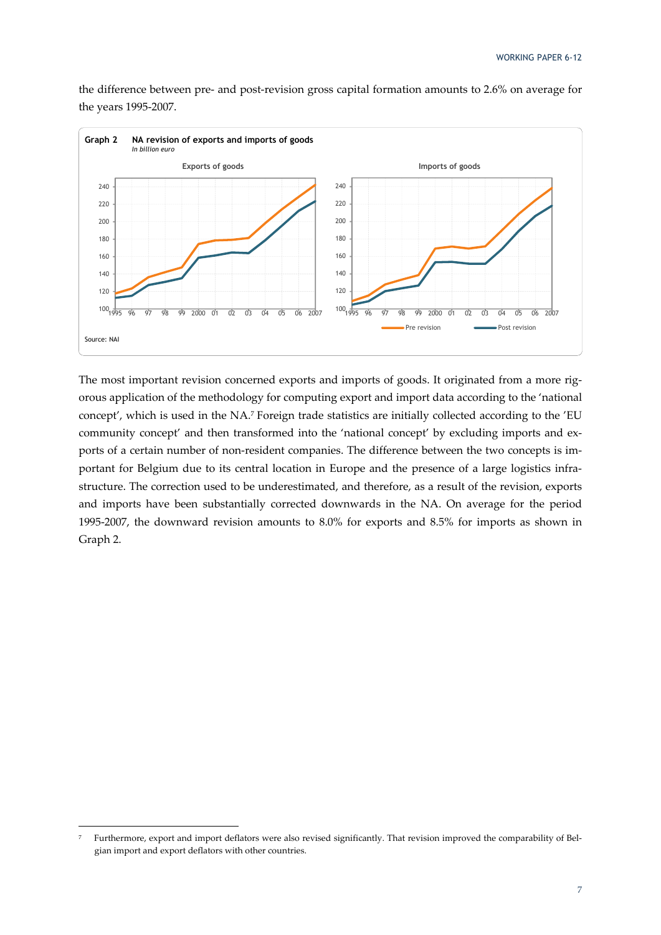the difference between pre‐ and post‐revision gross capital formation amounts to 2.6% on average for the years 1995‐2007.



The most important revision concerned exports and imports of goods. It originated from a more rigorous application of the methodology for computing export and import data according to the 'national concept', which is used in the NA.7 Foreign trade statistics are initially collected according to the 'EU community concept' and then transformed into the 'national concept' by excluding imports and exports of a certain number of non-resident companies. The difference between the two concepts is important for Belgium due to its central location in Europe and the presence of a large logistics infra‐ structure. The correction used to be underestimated, and therefore, as a result of the revision, exports and imports have been substantially corrected downwards in the NA. On average for the period 1995‐2007, the downward revision amounts to 8.0% for exports and 8.5% for imports as shown in Graph 2.

Furthermore, export and import deflators were also revised significantly. That revision improved the comparability of Belgian import and export deflators with other countries.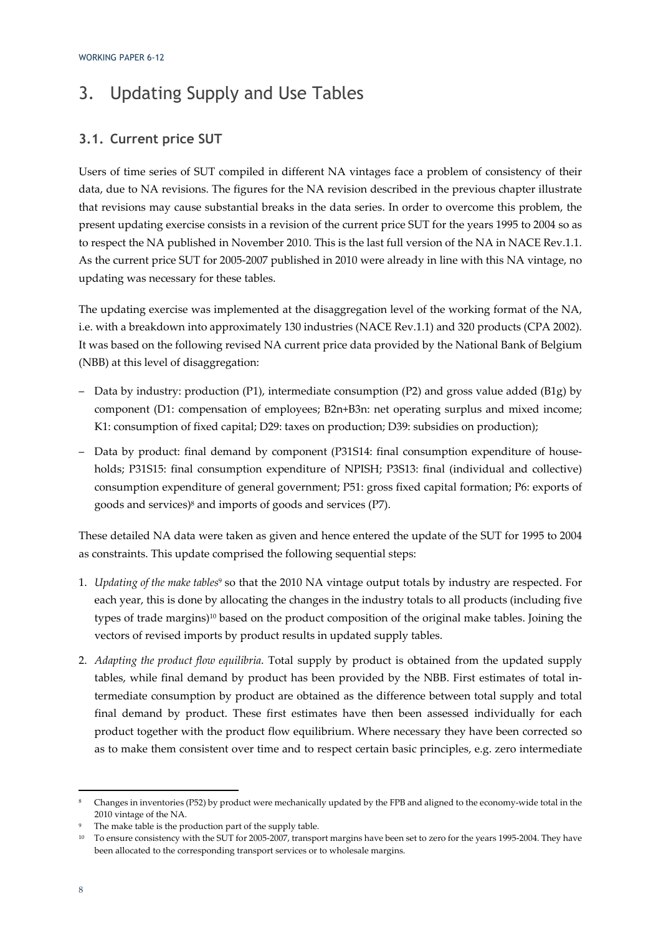# 3. Updating Supply and Use Tables

#### **3.1. Current price SUT**

Users of time series of SUT compiled in different NA vintages face a problem of consistency of their data, due to NA revisions. The figures for the NA revision described in the previous chapter illustrate that revisions may cause substantial breaks in the data series. In order to overcome this problem, the present updating exercise consists in a revision of the current price SUT for the years 1995 to 2004 so as to respect the NA published in November 2010. This is the last full version of the NA in NACE Rev.1.1. As the current price SUT for 2005‐2007 published in 2010 were already in line with this NA vintage, no updating was necessary for these tables.

The updating exercise was implemented at the disaggregation level of the working format of the NA, i.e. with a breakdown into approximately 130 industries (NACE Rev.1.1) and 320 products (CPA 2002). It was based on the following revised NA current price data provided by the National Bank of Belgium (NBB) at this level of disaggregation:

- Data by industry: production (P1), intermediate consumption (P2) and gross value added (B1g) by component (D1: compensation of employees; B2n+B3n: net operating surplus and mixed income; K1: consumption of fixed capital; D29: taxes on production; D39: subsidies on production);
- Data by product: final demand by component (P31S14: final consumption expenditure of house‐ holds; P31S15: final consumption expenditure of NPISH; P3S13: final (individual and collective) consumption expenditure of general government; P51: gross fixed capital formation; P6: exports of goods and services)8 and imports of goods and services (P7).

These detailed NA data were taken as given and hence entered the update of the SUT for 1995 to 2004 as constraints. This update comprised the following sequential steps:

- 1. *Updating of the make tables*<sup>9</sup> so that the 2010 NA vintage output totals by industry are respected. For each year, this is done by allocating the changes in the industry totals to all products (including five types of trade margins)10 based on the product composition of the original make tables. Joining the vectors of revised imports by product results in updated supply tables.
- 2. *Adapting the product flow equilibria*. Total supply by product is obtained from the updated supply tables, while final demand by product has been provided by the NBB. First estimates of total in‐ termediate consumption by product are obtained as the difference between total supply and total final demand by product. These first estimates have then been assessed individually for each product together with the product flow equilibrium. Where necessary they have been corrected so as to make them consistent over time and to respect certain basic principles, e.g. zero intermediate

Changes in inventories (P52) by product were mechanically updated by the FPB and aligned to the economy-wide total in the 2010 vintage of the NA.

The make table is the production part of the supply table.

<sup>&</sup>lt;sup>10</sup> To ensure consistency with the SUT for 2005-2007, transport margins have been set to zero for the years 1995-2004. They have been allocated to the corresponding transport services or to wholesale margins.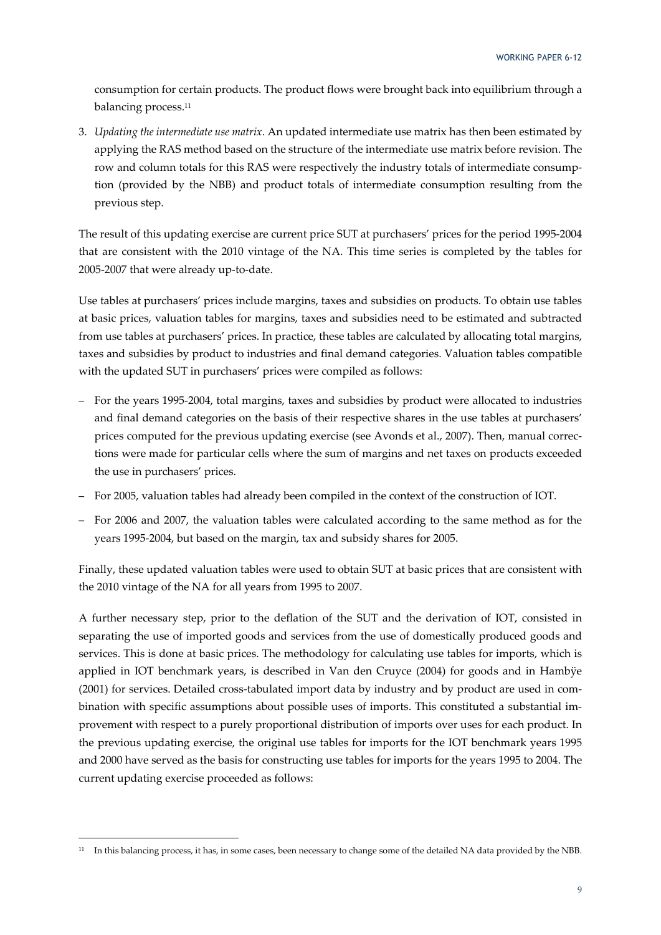consumption for certain products. The product flows were brought back into equilibrium through a balancing process.11

3. *Updating the intermediate use matrix*. An updated intermediate use matrix has then been estimated by applying the RAS method based on the structure of the intermediate use matrix before revision. The row and column totals for this RAS were respectively the industry totals of intermediate consumption (provided by the NBB) and product totals of intermediate consumption resulting from the previous step.

The result of this updating exercise are current price SUT at purchasers' prices for the period 1995-2004 that are consistent with the 2010 vintage of the NA. This time series is completed by the tables for 2005‐2007 that were already up‐to‐date.

Use tables at purchasers' prices include margins, taxes and subsidies on products. To obtain use tables at basic prices, valuation tables for margins, taxes and subsidies need to be estimated and subtracted from use tables at purchasers' prices. In practice, these tables are calculated by allocating total margins, taxes and subsidies by product to industries and final demand categories. Valuation tables compatible with the updated SUT in purchasers' prices were compiled as follows:

- For the years 1995‐2004, total margins, taxes and subsidies by product were allocated to industries and final demand categories on the basis of their respective shares in the use tables at purchasers' prices computed for the previous updating exercise (see Avonds et al., 2007). Then, manual corrections were made for particular cells where the sum of margins and net taxes on products exceeded the use in purchasers' prices.
- For 2005, valuation tables had already been compiled in the context of the construction of IOT.
- For 2006 and 2007, the valuation tables were calculated according to the same method as for the years 1995‐2004, but based on the margin, tax and subsidy shares for 2005.

Finally, these updated valuation tables were used to obtain SUT at basic prices that are consistent with the 2010 vintage of the NA for all years from 1995 to 2007.

A further necessary step, prior to the deflation of the SUT and the derivation of IOT, consisted in separating the use of imported goods and services from the use of domestically produced goods and services. This is done at basic prices. The methodology for calculating use tables for imports, which is applied in IOT benchmark years, is described in Van den Cruyce (2004) for goods and in Hambÿe (2001) for services. Detailed cross-tabulated import data by industry and by product are used in combination with specific assumptions about possible uses of imports. This constituted a substantial im‐ provement with respect to a purely proportional distribution of imports over uses for each product. In the previous updating exercise, the original use tables for imports for the IOT benchmark years 1995 and 2000 have served as the basis for constructing use tables for imports for the years 1995 to 2004. The current updating exercise proceeded as follows:

<sup>&</sup>lt;sup>11</sup> In this balancing process, it has, in some cases, been necessary to change some of the detailed NA data provided by the NBB.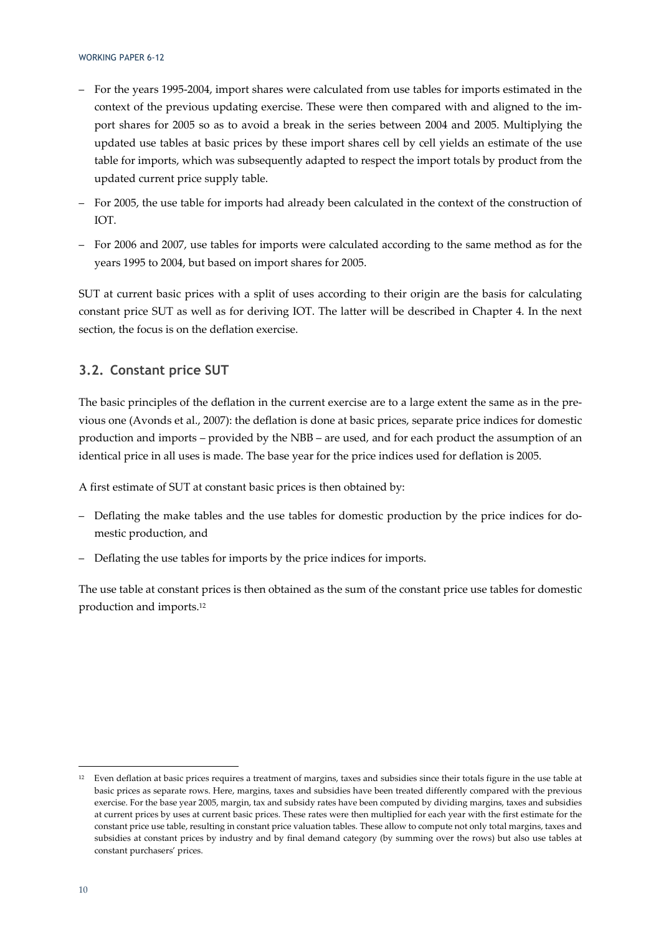- For the years 1995‐2004, import shares were calculated from use tables for imports estimated in the context of the previous updating exercise. These were then compared with and aligned to the import shares for 2005 so as to avoid a break in the series between 2004 and 2005. Multiplying the updated use tables at basic prices by these import shares cell by cell yields an estimate of the use table for imports, which was subsequently adapted to respect the import totals by product from the updated current price supply table.
- For 2005, the use table for imports had already been calculated in the context of the construction of IOT.
- For 2006 and 2007, use tables for imports were calculated according to the same method as for the years 1995 to 2004, but based on import shares for 2005.

SUT at current basic prices with a split of uses according to their origin are the basis for calculating constant price SUT as well as for deriving IOT. The latter will be described in Chapter 4. In the next section, the focus is on the deflation exercise.

#### **3.2. Constant price SUT**

<u> Andrew Maria (1995)</u>

The basic principles of the deflation in the current exercise are to a large extent the same as in the previous one (Avonds et al., 2007): the deflation is done at basic prices, separate price indices for domestic production and imports – provided by the NBB – are used, and for each product the assumption of an identical price in all uses is made. The base year for the price indices used for deflation is 2005.

A first estimate of SUT at constant basic prices is then obtained by:

- Deflating the make tables and the use tables for domestic production by the price indices for do‐ mestic production, and
- Deflating the use tables for imports by the price indices for imports.

The use table at constant prices is then obtained as the sum of the constant price use tables for domestic production and imports.12

 $12$  Even deflation at basic prices requires a treatment of margins, taxes and subsidies since their totals figure in the use table at basic prices as separate rows. Here, margins, taxes and subsidies have been treated differently compared with the previous exercise. For the base year 2005, margin, tax and subsidy rates have been computed by dividing margins, taxes and subsidies at current prices by uses at current basic prices. These rates were then multiplied for each year with the first estimate for the constant price use table, resulting in constant price valuation tables. These allow to compute not only total margins, taxes and subsidies at constant prices by industry and by final demand category (by summing over the rows) but also use tables at constant purchasers' prices.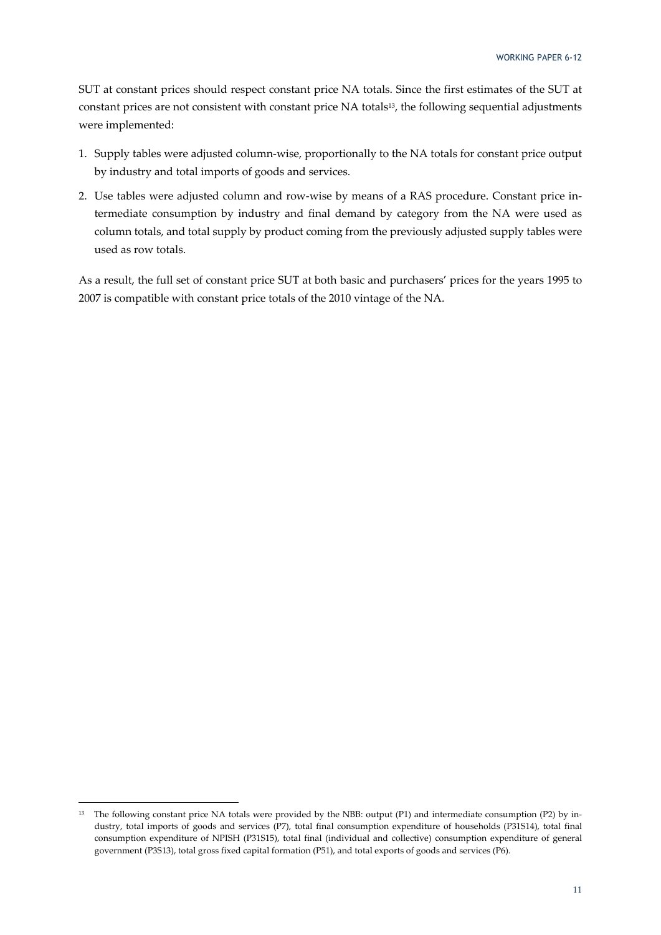SUT at constant prices should respect constant price NA totals. Since the first estimates of the SUT at constant prices are not consistent with constant price NA totals<sup>13</sup>, the following sequential adjustments were implemented:

- 1. Supply tables were adjusted column-wise, proportionally to the NA totals for constant price output by industry and total imports of goods and services.
- 2. Use tables were adjusted column and row-wise by means of a RAS procedure. Constant price intermediate consumption by industry and final demand by category from the NA were used as column totals, and total supply by product coming from the previously adjusted supply tables were used as row totals.

As a result, the full set of constant price SUT at both basic and purchasers' prices for the years 1995 to 2007 is compatible with constant price totals of the 2010 vintage of the NA.

<sup>13</sup> The following constant price NA totals were provided by the NBB: output (P1) and intermediate consumption (P2) by industry, total imports of goods and services (P7), total final consumption expenditure of households (P31S14), total final consumption expenditure of NPISH (P31S15), total final (individual and collective) consumption expenditure of general government (P3S13), total gross fixed capital formation (P51), and total exports of goods and services (P6).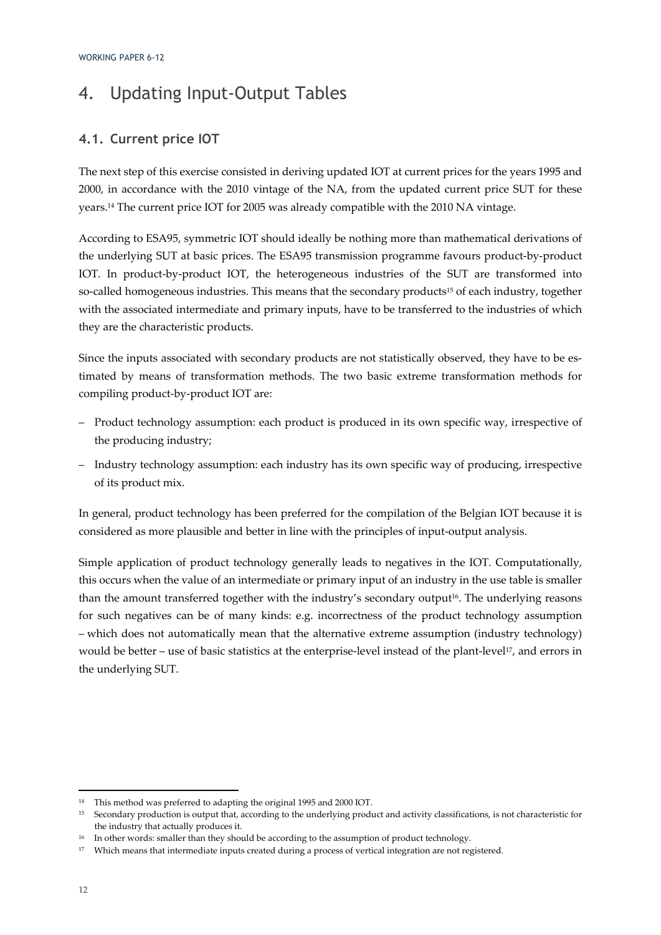# 4. Updating Input-Output Tables

#### **4.1. Current price IOT**

The next step of this exercise consisted in deriving updated IOT at current prices for the years 1995 and 2000, in accordance with the 2010 vintage of the NA, from the updated current price SUT for these years.14 The current price IOT for 2005 was already compatible with the 2010 NA vintage.

According to ESA95, symmetric IOT should ideally be nothing more than mathematical derivations of the underlying SUT at basic prices. The ESA95 transmission programme favours product-by-product IOT. In product-by-product IOT, the heterogeneous industries of the SUT are transformed into so-called homogeneous industries. This means that the secondary products<sup>15</sup> of each industry, together with the associated intermediate and primary inputs, have to be transferred to the industries of which they are the characteristic products.

Since the inputs associated with secondary products are not statistically observed, they have to be estimated by means of transformation methods. The two basic extreme transformation methods for compiling product‐by‐product IOT are:

- Product technology assumption: each product is produced in its own specific way, irrespective of the producing industry;
- Industry technology assumption: each industry has its own specific way of producing, irrespective of its product mix.

In general, product technology has been preferred for the compilation of the Belgian IOT because it is considered as more plausible and better in line with the principles of input-output analysis.

Simple application of product technology generally leads to negatives in the IOT. Computationally, this occurs when the value of an intermediate or primary input of an industry in the use table is smaller than the amount transferred together with the industry's secondary output<sup>16</sup>. The underlying reasons for such negatives can be of many kinds: e.g. incorrectness of the product technology assumption – which does not automatically mean that the alternative extreme assumption (industry technology) would be better – use of basic statistics at the enterprise-level instead of the plant-level<sup>17</sup>, and errors in the underlying SUT.

<sup>14</sup> This method was preferred to adapting the original 1995 and 2000 IOT.

<sup>15</sup> Secondary production is output that, according to the underlying product and activity classifications, is not characteristic for the industry that actually produces it.

<sup>&</sup>lt;sup>16</sup> In other words: smaller than they should be according to the assumption of product technology.

<sup>&</sup>lt;sup>17</sup> Which means that intermediate inputs created during a process of vertical integration are not registered.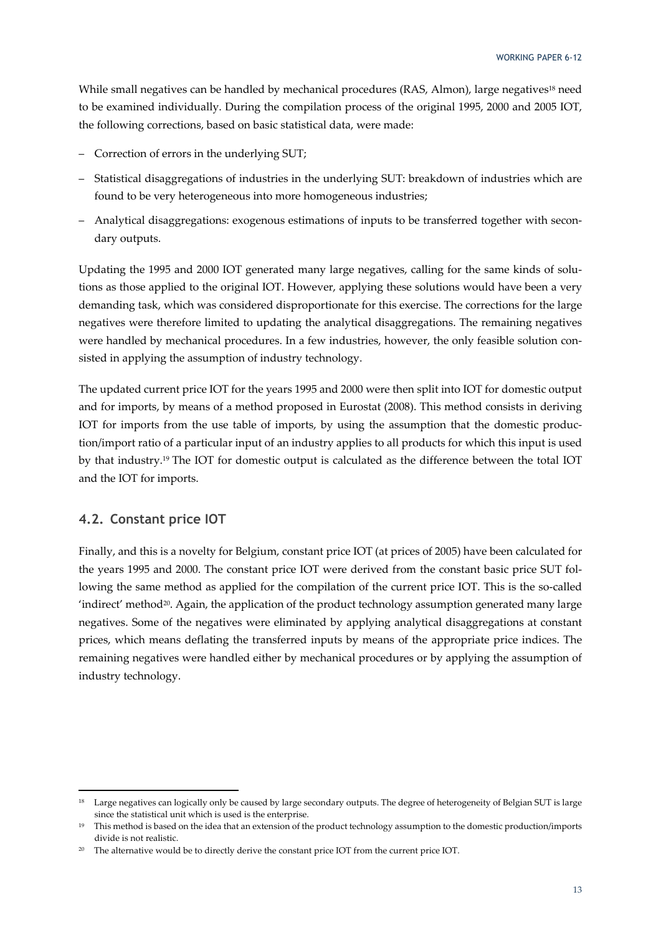While small negatives can be handled by mechanical procedures (RAS, Almon), large negatives<sup>18</sup> need to be examined individually. During the compilation process of the original 1995, 2000 and 2005 IOT, the following corrections, based on basic statistical data, were made:

- Correction of errors in the underlying SUT;
- Statistical disaggregations of industries in the underlying SUT: breakdown of industries which are found to be very heterogeneous into more homogeneous industries;
- Analytical disaggregations: exogenous estimations of inputs to be transferred together with secon‐ dary outputs.

Updating the 1995 and 2000 IOT generated many large negatives, calling for the same kinds of solutions as those applied to the original IOT. However, applying these solutions would have been a very demanding task, which was considered disproportionate for this exercise. The corrections for the large negatives were therefore limited to updating the analytical disaggregations. The remaining negatives were handled by mechanical procedures. In a few industries, however, the only feasible solution consisted in applying the assumption of industry technology.

The updated current price IOT for the years 1995 and 2000 were then split into IOT for domestic output and for imports, by means of a method proposed in Eurostat (2008). This method consists in deriving IOT for imports from the use table of imports, by using the assumption that the domestic produc‐ tion/import ratio of a particular input of an industry applies to all products for which this input is used by that industry.19 The IOT for domestic output is calculated as the difference between the total IOT and the IOT for imports.

#### **4.2. Constant price IOT**

<u> Andrew Maria (1995)</u>

Finally, and this is a novelty for Belgium, constant price IOT (at prices of 2005) have been calculated for the years 1995 and 2000. The constant price IOT were derived from the constant basic price SUT fol‐ lowing the same method as applied for the compilation of the current price IOT. This is the so-called  $'$ indirect' method $^{20}$ . Again, the application of the product technology assumption generated many large negatives. Some of the negatives were eliminated by applying analytical disaggregations at constant prices, which means deflating the transferred inputs by means of the appropriate price indices. The remaining negatives were handled either by mechanical procedures or by applying the assumption of industry technology.

<sup>&</sup>lt;sup>18</sup> Large negatives can logically only be caused by large secondary outputs. The degree of heterogeneity of Belgian SUT is large since the statistical unit which is used is the enterprise.

<sup>&</sup>lt;sup>19</sup> This method is based on the idea that an extension of the product technology assumption to the domestic production/imports divide is not realistic.

<sup>&</sup>lt;sup>20</sup> The alternative would be to directly derive the constant price IOT from the current price IOT.